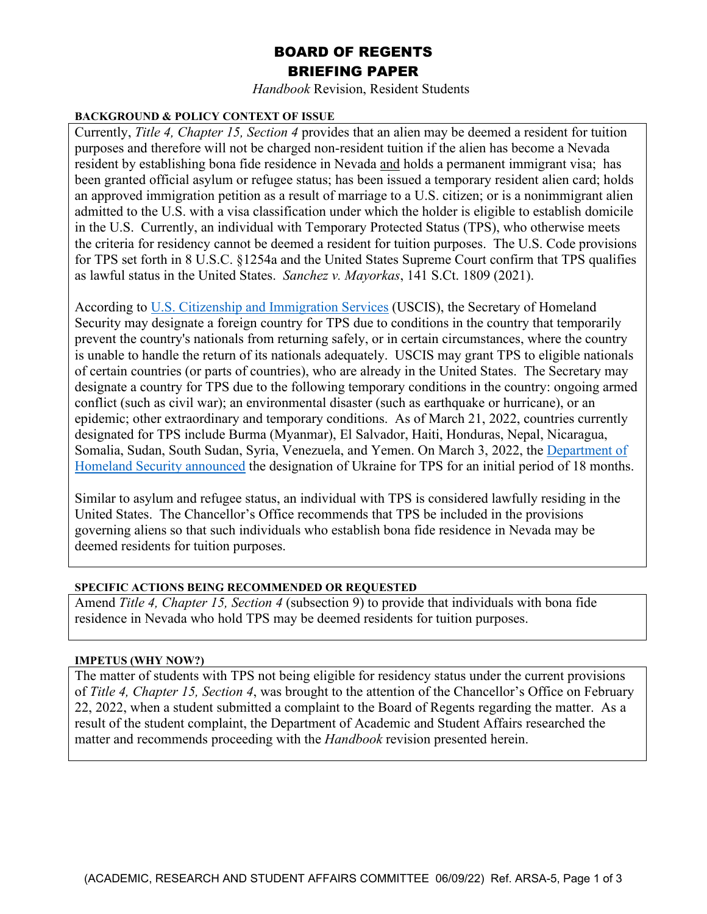# BOARD OF REGENTS BRIEFING PAPER

*Handbook* Revision, Resident Students

## **BACKGROUND & POLICY CONTEXT OF ISSUE**

Currently, *Title 4, Chapter 15, Section 4* provides that an alien may be deemed a resident for tuition purposes and therefore will not be charged non-resident tuition if the alien has become a Nevada resident by establishing bona fide residence in Nevada and holds a permanent immigrant visa; has been granted official asylum or refugee status; has been issued a temporary resident alien card; holds an approved immigration petition as a result of marriage to a U.S. citizen; or is a nonimmigrant alien admitted to the U.S. with a visa classification under which the holder is eligible to establish domicile in the U.S. Currently, an individual with Temporary Protected Status (TPS), who otherwise meets the criteria for residency cannot be deemed a resident for tuition purposes. The U.S. Code provisions for TPS set forth in 8 U.S.C. §1254a and the United States Supreme Court confirm that TPS qualifies as lawful status in the United States. *Sanchez v. Mayorkas*, 141 S.Ct. 1809 (2021).

According to [U.S. Citizenship and Immigration Services](https://www.uscis.gov/humanitarian/temporary-protected-status) (USCIS), the Secretary of Homeland Security may designate a foreign country for TPS due to conditions in the country that temporarily prevent the country's nationals from returning safely, or in certain circumstances, where the country is unable to handle the return of its nationals adequately. USCIS may grant TPS to eligible nationals of certain countries (or parts of countries), who are already in the United States. The Secretary may designate a country for TPS due to the following temporary conditions in the country: ongoing armed conflict (such as civil war); an environmental disaster (such as earthquake or hurricane), or an epidemic; other extraordinary and temporary conditions. As of March 21, 2022, countries currently designated for TPS include Burma (Myanmar), El Salvador, Haiti, Honduras, Nepal, Nicaragua, Somalia, Sudan, South Sudan, Syria, Venezuela, and Yemen. On March 3, 2022, the Department of Homeland [Security announced](https://www.dhs.gov/news/2022/03/03/secretary-mayorkas-designates-ukraine-temporary-protected-status-18-months) the designation of Ukraine for TPS for an initial period of 18 months.

Similar to asylum and refugee status, an individual with TPS is considered lawfully residing in the United States. The Chancellor's Office recommends that TPS be included in the provisions governing aliens so that such individuals who establish bona fide residence in Nevada may be deemed residents for tuition purposes.

## **SPECIFIC ACTIONS BEING RECOMMENDED OR REQUESTED**

Amend *Title 4, Chapter 15, Section 4* (subsection 9) to provide that individuals with bona fide residence in Nevada who hold TPS may be deemed residents for tuition purposes.

## **IMPETUS (WHY NOW?)**

The matter of students with TPS not being eligible for residency status under the current provisions of *Title 4, Chapter 15, Section 4*, was brought to the attention of the Chancellor's Office on February 22, 2022, when a student submitted a complaint to the Board of Regents regarding the matter. As a result of the student complaint, the Department of Academic and Student Affairs researched the matter and recommends proceeding with the *Handbook* revision presented herein.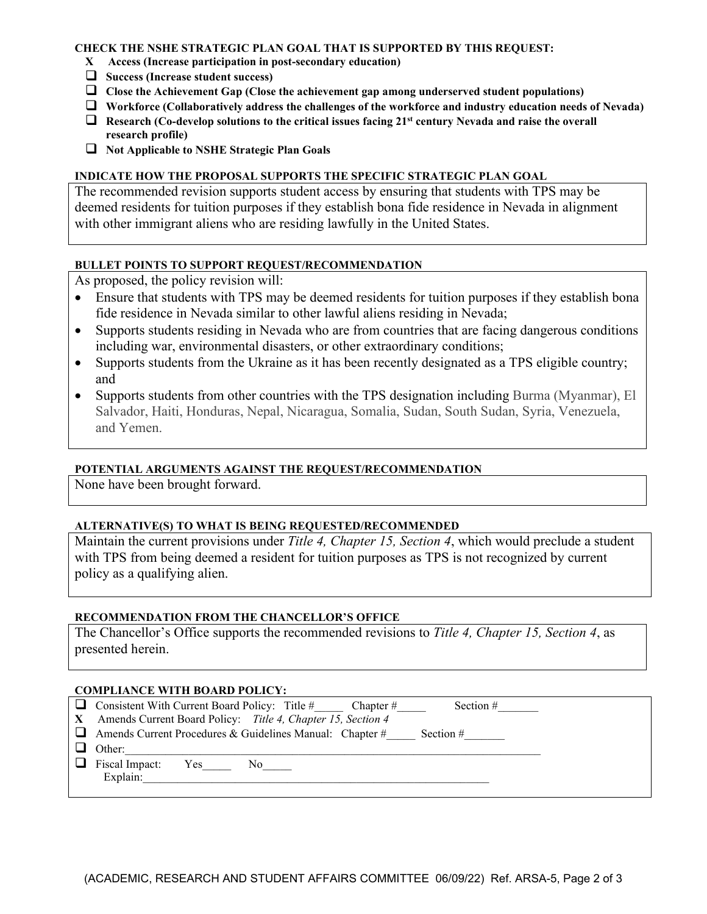#### **CHECK THE NSHE STRATEGIC PLAN GOAL THAT IS SUPPORTED BY THIS REQUEST:**

- **X Access (Increase participation in post-secondary education)**
- **Success (Increase student success)**
- **Close the Achievement Gap (Close the achievement gap among underserved student populations)**
- **Workforce (Collaboratively address the challenges of the workforce and industry education needs of Nevada)**
- **Research** (Co-develop solutions to the critical issues facing 21<sup>st</sup> century Nevada and raise the overall **research profile)**
- **Not Applicable to NSHE Strategic Plan Goals**

#### **INDICATE HOW THE PROPOSAL SUPPORTS THE SPECIFIC STRATEGIC PLAN GOAL**

The recommended revision supports student access by ensuring that students with TPS may be deemed residents for tuition purposes if they establish bona fide residence in Nevada in alignment with other immigrant aliens who are residing lawfully in the United States.

## **BULLET POINTS TO SUPPORT REQUEST/RECOMMENDATION**

As proposed, the policy revision will:

- Ensure that students with TPS may be deemed residents for tuition purposes if they establish bona fide residence in Nevada similar to other lawful aliens residing in Nevada;
- Supports students residing in Nevada who are from countries that are facing dangerous conditions including war, environmental disasters, or other extraordinary conditions;
- Supports students from the Ukraine as it has been recently designated as a TPS eligible country; and
- Supports students from other countries with the TPS designation including Burma (Myanmar), El Salvador, Haiti, Honduras, Nepal, Nicaragua, Somalia, Sudan, South Sudan, Syria, Venezuela, and Yemen.

## **POTENTIAL ARGUMENTS AGAINST THE REQUEST/RECOMMENDATION**

None have been brought forward.

## **ALTERNATIVE(S) TO WHAT IS BEING REQUESTED/RECOMMENDED**

Maintain the current provisions under *Title 4, Chapter 15, Section 4*, which would preclude a student with TPS from being deemed a resident for tuition purposes as TPS is not recognized by current policy as a qualifying alien.

#### **RECOMMENDATION FROM THE CHANCELLOR'S OFFICE**

The Chancellor's Office supports the recommended revisions to *Title 4, Chapter 15, Section 4*, as presented herein.

#### **COMPLIANCE WITH BOARD POLICY:**

| <b>Q</b> Consistent With Current Board Policy: Title # Chapter #<br>Section $#$ |
|---------------------------------------------------------------------------------|
| X Amends Current Board Policy: Title 4, Chapter 15, Section 4                   |
| $\Box$ Amends Current Procedures & Guidelines Manual: Chapter #<br>Section $#$  |
| Other:                                                                          |
| $\Box$ Fiscal Impact:<br>Yes<br>No.                                             |
| Explain:                                                                        |
|                                                                                 |